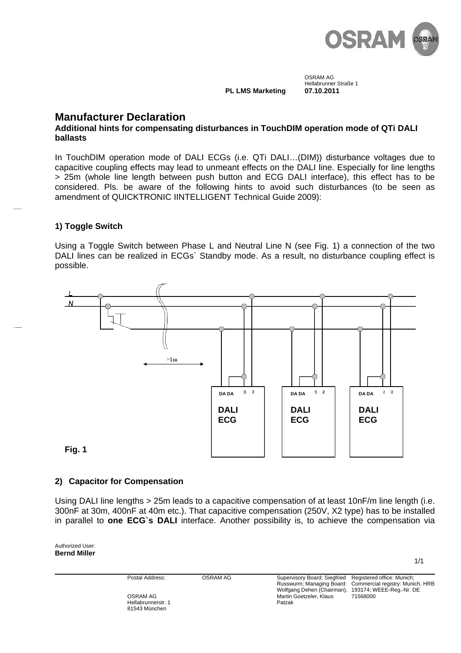

**PL LMS Marketing** 

 OSRAM AG Hellabrunner Straße 1

# **Manufacturer Declaration**

## **Additional hints for compensating disturbances in TouchDIM operation mode of QTi DALI ballasts**

In TouchDIM operation mode of DALI ECGs (i.e. QTi DALI...(DIM)) disturbance voltages due to capacitive coupling effects may lead to unmeant effects on the DALI line. Especially for line lengths > 25m (whole line length between push button and ECG DALI interface), this effect has to be considered. Pls. be aware of the following hints to avoid such disturbances (to be seen as amendment of QUICKTRONIC IINTELLIGENT Technical Guide 2009):

## **1) Toggle Switch**

Using a Toggle Switch between Phase L and Neutral Line N (see Fig. 1) a connection of the two DALI lines can be realized in ECGs` Standby mode. As a result, no disturbance coupling effect is possible.



#### **2) Capacitor for Compensation**

Using DALI line lengths > 25m leads to a capacitive compensation of at least 10nF/m line length (i.e. 300nF at 30m, 400nF at 40m etc.). That capacitive compensation (250V, X2 type) has to be installed in parallel to **one ECG`s DALI** interface. Another possibility is, to achieve the compensation via

Authorized User: **Bernd Miller** 

1/1

Postal Address:

OSRAM AG Hellabrunnerstr. 1 81543 München

OSRAM AG Supervisory Board: Siegfried Russwurm; Managing Board: Wolfgang Dehen (Chairman), Martin Goetzeler, Klaus Patzak

Registered office: Munich; Commercial registry: Munich, HRB 193174; WEEE-Reg.-Nr. DE 71568000